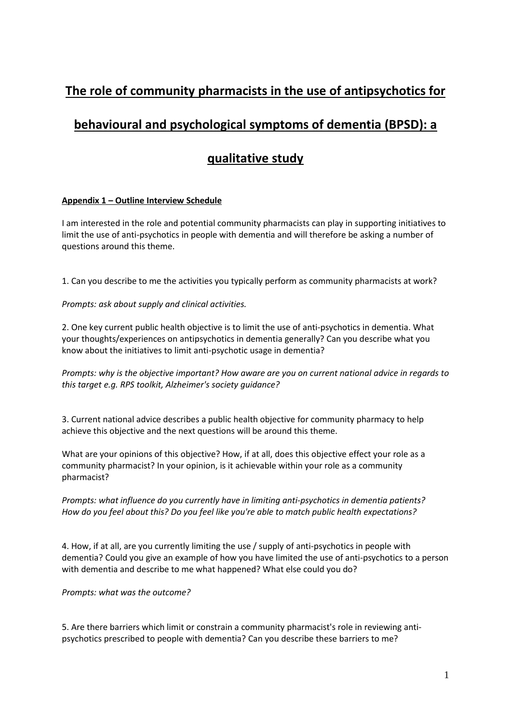## **The role of community pharmacists in the use of antipsychotics for**

# **behavioural and psychological symptoms of dementia (BPSD): a**

### **qualitative study**

#### **Appendix 1 – Outline Interview Schedule**

I am interested in the role and potential community pharmacists can play in supporting initiatives to limit the use of anti-psychotics in people with dementia and will therefore be asking a number of questions around this theme.

1. Can you describe to me the activities you typically perform as community pharmacists at work?

*Prompts: ask about supply and clinical activities.*

2. One key current public health objective is to limit the use of anti-psychotics in dementia. What your thoughts/experiences on antipsychotics in dementia generally? Can you describe what you know about the initiatives to limit anti-psychotic usage in dementia?

*Prompts: why is the objective important? How aware are you on current national advice in regards to this target e.g. RPS toolkit, Alzheimer's society guidance?*

3. Current national advice describes a public health objective for community pharmacy to help achieve this objective and the next questions will be around this theme.

What are your opinions of this objective? How, if at all, does this objective effect your role as a community pharmacist? In your opinion, is it achievable within your role as a community pharmacist?

*Prompts: what influence do you currently have in limiting anti-psychotics in dementia patients? How do you feel about this? Do you feel like you're able to match public health expectations?*

4. How, if at all, are you currently limiting the use / supply of anti-psychotics in people with dementia? Could you give an example of how you have limited the use of anti-psychotics to a person with dementia and describe to me what happened? What else could you do?

*Prompts: what was the outcome?*

5. Are there barriers which limit or constrain a community pharmacist's role in reviewing antipsychotics prescribed to people with dementia? Can you describe these barriers to me?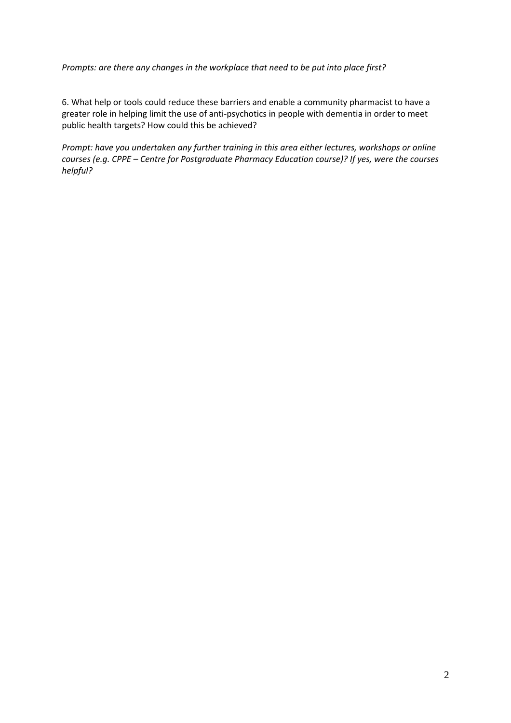*Prompts: are there any changes in the workplace that need to be put into place first?*

6. What help or tools could reduce these barriers and enable a community pharmacist to have a greater role in helping limit the use of anti-psychotics in people with dementia in order to meet public health targets? How could this be achieved?

*Prompt: have you undertaken any further training in this area either lectures, workshops or online courses (e.g. CPPE – Centre for Postgraduate Pharmacy Education course)? If yes, were the courses helpful?*